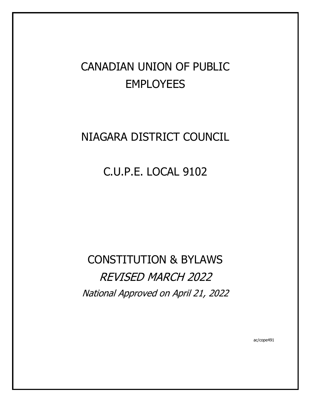# CANADIAN UNION OF PUBLIC EMPLOYEES

## NIAGARA DISTRICT COUNCIL

## C.U.P.E. LOCAL 9102

# CONSTITUTION & BYLAWS REVISED MARCH 2022 National Approved on April 21, 2022

ac/cope491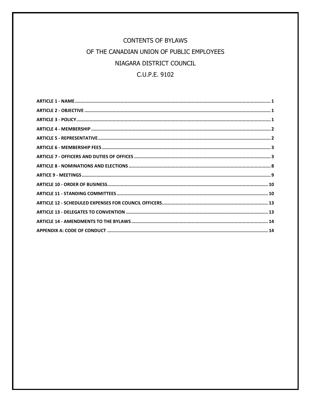## **CONTENTS OF BYLAWS** OF THE CANADIAN UNION OF PUBLIC EMPLOYEES NIAGARA DISTRICT COUNCIL C.U.P.E. 9102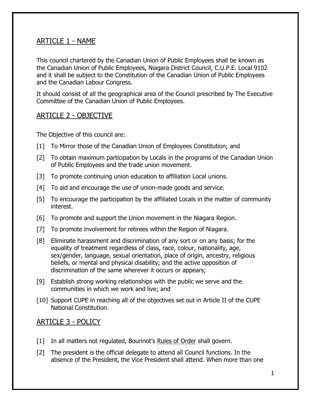## <span id="page-2-0"></span>ARTICLE 1 - NAME

This council chartered by the Canadian Union of Public Employees shall be known as the Canadian Union of Public Employees, Niagara District Council, C.U.P.E. Local 9102 and it shall be subject to the Constitution of the Canadian Union of Public Employees and the Canadian Labour Congress.

It should consist of all the geographical area of the Council prescribed by The Executive Committee of the Canadian Union of Public Employees.

## <span id="page-2-1"></span>ARTICLE 2 - OBJECTIVE

The Objective of this council are:

- [1] To Mirror those of the Canadian Union of Employees Constitution; and
- [2] To obtain maximum participation by Locals in the programs of the Canadian Union of Public Employees and the trade union movement.
- [3] To promote continuing union education to affiliation Local unions.
- [4] To aid and encourage the use of union-made goods and service.
- [5] To encourage the participation by the affiliated Locals in the matter of community interest.
- [6] To promote and support the Union movement in the Niagara Region.
- [7] To promote involvement for retirees within the Region of Niagara.
- [8] Eliminate harassment and discrimination of any sort or on any basis; for the equality of treatment regardless of class, race, colour, nationality, age, sex/gender, language, sexual orientation, place of origin, ancestry, religious beliefs, or mental and physical disability; and the active opposition of discrimination of the same wherever it occurs or appears;
- [9] Establish strong working relationships with the public we serve and the communities in which we work and live; and
- [10] Support CUPE in reaching all of the objectives set out in Article II of the CUPE National Constitution.

## <span id="page-2-2"></span>ARTICLE 3 - POLICY

- [1] In all matters not regulated, Bourinot's Rules of Order shall govern.
- [2] The president is the official delegate to attend all Council functions. In the absence of the President, the Vice President shall attend. When more than one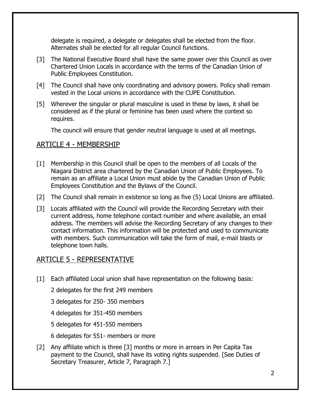delegate is required, a delegate or delegates shall be elected from the floor. Alternates shall be elected for all regular Council functions.

- [3] The National Executive Board shall have the same power over this Council as over Chartered Union Locals in accordance with the terms of the Canadian Union of Public Employees Constitution.
- [4] The Council shall have only coordinating and advisory powers. Policy shall remain vested in the Local unions in accordance with the CUPE Constitution.
- [5] Wherever the singular or plural masculine is used in these by laws, it shall be considered as if the plural or feminine has been used where the context so requires.

The council will ensure that gender neutral language is used at all meetings.

## <span id="page-3-0"></span>ARTICLE 4 - MEMBERSHIP

- [1] Membership in this Council shall be open to the members of all Locals of the Niagara District area chartered by the Canadian Union of Public Employees. To remain as an affiliate a Local Union must abide by the Canadian Union of Public Employees Constitution and the Bylaws of the Council.
- [2] The Council shall remain in existence so long as five (5) Local Unions are affiliated.
- [3] Locals affiliated with the Council will provide the Recording Secretary with their current address, home telephone contact number and where available, an email address. The members will advise the Recording Secretary of any changes to their contact information. This information will be protected and used to communicate with members. Such communication will take the form of mail, e-mail blasts or telephone town halls.

## <span id="page-3-1"></span>ARTICLE 5 - REPRESENTATIVE

[1] Each affiliated Local union shall have representation on the following basis:

2 delegates for the first 249 members

- 3 delegates for 250- 350 members
- 4 delegates for 351-450 members
- 5 delegates for 451-550 members
- 6 delegates for 551- members or more
- [2] Any affiliate which is three [3] months or more in arrears in Per Capita Tax payment to the Council, shall have its voting rights suspended. [See Duties of Secretary Treasurer, Article 7, Paragraph 7.]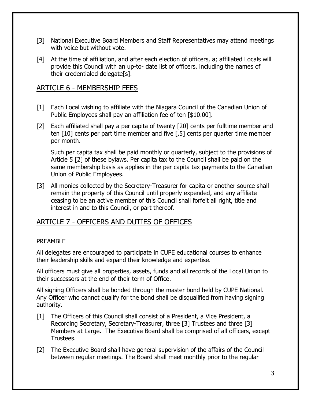- [3] National Executive Board Members and Staff Representatives may attend meetings with voice but without vote.
- [4] At the time of affiliation, and after each election of officers, a; affiliated Locals will provide this Council with an up-to- date list of officers, including the names of their credentialed delegate[s].

## <span id="page-4-0"></span>ARTICLE 6 - MEMBERSHIP FEES

- [1] Each Local wishing to affiliate with the Niagara Council of the Canadian Union of Public Employees shall pay an affiliation fee of ten [\$10.00].
- [2] Each affiliated shall pay a per capita of twenty [20] cents per fulltime member and ten [10] cents per part time member and five [.5] cents per quarter time member per month.

Such per capita tax shall be paid monthly or quarterly, subject to the provisions of Article 5 [2] of these bylaws. Per capita tax to the Council shall be paid on the same membership basis as applies in the per capita tax payments to the Canadian Union of Public Employees.

[3] All monies collected by the Secretary-Treasurer for capita or another source shall remain the property of this Council until properly expended, and any affiliate ceasing to be an active member of this Council shall forfeit all right, title and interest in and to this Council, or part thereof.

## <span id="page-4-1"></span>ARTICLE 7 - OFFICERS AND DUTIES OF OFFICES

#### PRFAMBI<sub>F</sub>

All delegates are encouraged to participate in CUPE educational courses to enhance their leadership skills and expand their knowledge and expertise.

All officers must give all properties, assets, funds and all records of the Local Union to their successors at the end of their term of Office.

All signing Officers shall be bonded through the master bond held by CUPE National. Any Officer who cannot qualify for the bond shall be disqualified from having signing authority.

- [1] The Officers of this Council shall consist of a President, a Vice President, a Recording Secretary, Secretary-Treasurer, three [3] Trustees and three [3] Members at Large. The Executive Board shall be comprised of all officers, except Trustees.
- [2] The Executive Board shall have general supervision of the affairs of the Council between regular meetings. The Board shall meet monthly prior to the regular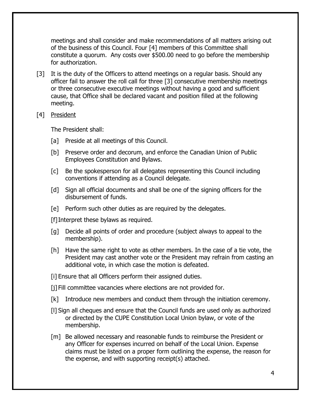meetings and shall consider and make recommendations of all matters arising out of the business of this Council. Four [4] members of this Committee shall constitute a quorum. Any costs over \$500.00 need to go before the membership for authorization.

- [3] It is the duty of the Officers to attend meetings on a regular basis. Should any officer fail to answer the roll call for three [3] consecutive membership meetings or three consecutive executive meetings without having a good and sufficient cause, that Office shall be declared vacant and position filled at the following meeting.
- [4] President

The President shall:

- [a] Preside at all meetings of this Council.
- [b] Preserve order and decorum, and enforce the Canadian Union of Public Employees Constitution and Bylaws.
- [c] Be the spokesperson for all delegates representing this Council including conventions if attending as a Council delegate.
- [d] Sign all official documents and shall be one of the signing officers for the disbursement of funds.
- [e] Perform such other duties as are required by the delegates.

[f]Interpret these bylaws as required.

- [g] Decide all points of order and procedure (subject always to appeal to the membership).
- [h] Have the same right to vote as other members. In the case of a tie vote, the President may cast another vote or the President may refrain from casting an additional vote, in which case the motion is defeated.
- [i] Ensure that all Officers perform their assigned duties.

[j] Fill committee vacancies where elections are not provided for.

- [k] Introduce new members and conduct them through the initiation ceremony.
- [l] Sign all cheques and ensure that the Council funds are used only as authorized or directed by the CUPE Constitution Local Union bylaw, or vote of the membership.
- [m] Be allowed necessary and reasonable funds to reimburse the President or any Officer for expenses incurred on behalf of the Local Union. Expense claims must be listed on a proper form outlining the expense, the reason for the expense, and with supporting receipt(s) attached.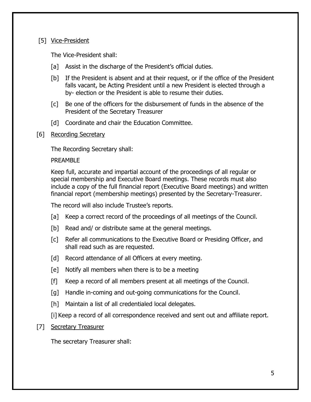#### [5] Vice-President

The Vice-President shall:

- [a] Assist in the discharge of the President's official duties.
- [b] If the President is absent and at their request, or if the office of the President falls vacant, be Acting President until a new President is elected through a by- election or the President is able to resume their duties.
- [c] Be one of the officers for the disbursement of funds in the absence of the President of the Secretary Treasurer
- [d] Coordinate and chair the Education Committee.
- [6] Recording Secretary

The Recording Secretary shall:

PREAMBLE

Keep full, accurate and impartial account of the proceedings of all regular or special membership and Executive Board meetings. These records must also include a copy of the full financial report (Executive Board meetings) and written financial report (membership meetings) presented by the Secretary-Treasurer.

The record will also include Trustee's reports.

- [a] Keep a correct record of the proceedings of all meetings of the Council.
- [b] Read and/ or distribute same at the general meetings.
- [c] Refer all communications to the Executive Board or Presiding Officer, and shall read such as are requested.
- [d] Record attendance of all Officers at every meeting.
- [e] Notify all members when there is to be a meeting
- [f] Keep a record of all members present at all meetings of the Council.
- [g] Handle in-coming and out-going communications for the Council.
- [h] Maintain a list of all credentialed local delegates.

[i] Keep a record of all correspondence received and sent out and affiliate report.

#### [7] Secretary Treasurer

The secretary Treasurer shall: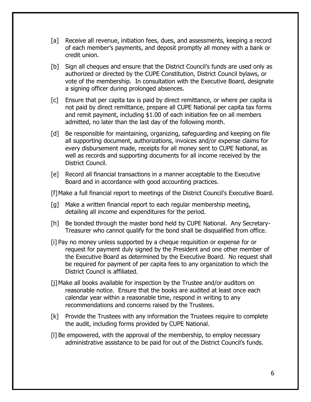- [a] Receive all revenue, initiation fees, dues, and assessments, keeping a record of each member's payments, and deposit promptly all money with a bank or credit union.
- [b] Sign all cheques and ensure that the District Council's funds are used only as authorized or directed by the CUPE Constitution, District Council bylaws, or vote of the membership. In consultation with the Executive Board, designate a signing officer during prolonged absences.
- [c] Ensure that per capita tax is paid by direct remittance, or where per capita is not paid by direct remittance, prepare all CUPE National per capita tax forms and remit payment, including \$1.00 of each initiation fee on all members admitted, no later than the last day of the following month.
- [d] Be responsible for maintaining, organizing, safeguarding and keeping on file all supporting document, authorizations, invoices and/or expense claims for every disbursement made, receipts for all money sent to CUPE National, as well as records and supporting documents for all income received by the District Council.
- [e] Record all financial transactions in a manner acceptable to the Executive Board and in accordance with good accounting practices.

[f]Make a full financial report to meetings of the District Council's Executive Board.

- [g] Make a written financial report to each regular membership meeting, detailing all income and expenditures for the period.
- [h] Be bonded through the master bond held by CUPE National. Any Secretary-Treasurer who cannot qualify for the bond shall be disqualified from office.
- [i] Pay no money unless supported by a cheque requisition or expense for or request for payment duly signed by the President and one other member of the Executive Board as determined by the Executive Board. No request shall be required for payment of per capita fees to any organization to which the District Council is affiliated.
- [j]Make all books available for inspection by the Trustee and/or auditors on reasonable notice. Ensure that the books are audited at least once each calendar year within a reasonable time, respond in writing to any recommendations and concerns raised by the Trustees.
- [k] Provide the Trustees with any information the Trustees require to complete the audit, including forms provided by CUPE National.
- [l] Be empowered, with the approval of the membership, to employ necessary administrative assistance to be paid for out of the District Council's funds.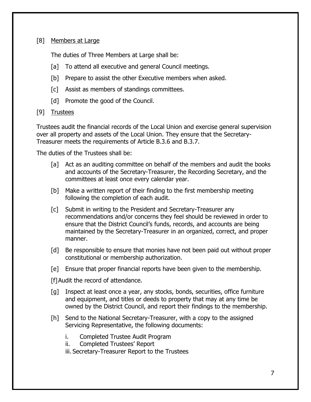#### [8] Members at Large

The duties of Three Members at Large shall be:

- [a] To attend all executive and general Council meetings.
- [b] Prepare to assist the other Executive members when asked.
- [c] Assist as members of standings committees.
- [d] Promote the good of the Council.

#### [9] Trustees

Trustees audit the financial records of the Local Union and exercise general supervision over all property and assets of the Local Union. They ensure that the Secretary-Treasurer meets the requirements of Article B.3.6 and B.3.7.

The duties of the Trustees shall be:

- [a] Act as an auditing committee on behalf of the members and audit the books and accounts of the Secretary-Treasurer, the Recording Secretary, and the committees at least once every calendar year.
- [b] Make a written report of their finding to the first membership meeting following the completion of each audit.
- [c] Submit in writing to the President and Secretary-Treasurer any recommendations and/or concerns they feel should be reviewed in order to ensure that the District Council's funds, records, and accounts are being maintained by the Secretary-Treasurer in an organized, correct, and proper manner.
- [d] Be responsible to ensure that monies have not been paid out without proper constitutional or membership authorization.
- [e] Ensure that proper financial reports have been given to the membership.

[f] Audit the record of attendance.

- [g] Inspect at least once a year, any stocks, bonds, securities, office furniture and equipment, and titles or deeds to property that may at any time be owned by the District Council, and report their findings to the membership.
- [h] Send to the National Secretary-Treasurer, with a copy to the assigned Servicing Representative, the following documents:
	- i. Completed Trustee Audit Program
	- ii. Completed Trustees' Report
	- iii. Secretary-Treasurer Report to the Trustees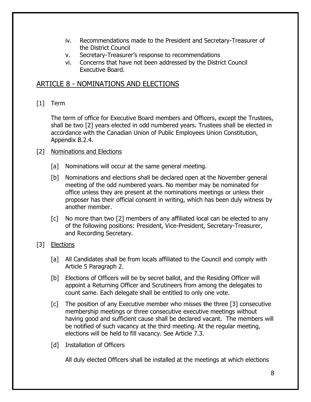- iv. Recommendations made to the President and Secretary-Treasurer of the District Council
- v. Secretary-Treasurer's response to recommendations
- vi. Concerns that have not been addressed by the District Council Executive Board.

## <span id="page-9-0"></span>ARTICLE 8 - NOMINATIONS AND ELECTIONS

[1] Term

The term of office for Executive Board members and Officers, except the Trustees, shall be two [2] years elected in odd numbered years. Trustees shall be elected in accordance with the Canadian Union of Public Employees Union Constitution, Appendix B.2.4.

#### [2] Nominations and Elections

- [a] Nominations will occur at the same general meeting.
- [b] Nominations and elections shall be declared open at the November general meeting of the odd numbered years. No member may be nominated for office unless they are present at the nominations meetings or unless their proposer has their official consent in writing, which has been duly witness by another member.
- [c] No more than two [2] members of any affiliated local can be elected to any of the following positions: President, Vice-President, Secretary-Treasurer, and Recording Secretary.
- [3] Elections
	- [a] All Candidates shall be from locals affiliated to the Council and comply with Article 5 Paragraph 2.
	- [b] Elections of Officers will be by secret ballot, and the Residing Officer will appoint a Returning Officer and Scrutineers from among the delegates to count same. Each delegate shall be entitled to only one vote.
	- $[c]$  The position of any Executive member who misses the three [3] consecutive membership meetings or three consecutive executive meetings without having good and sufficient cause shall be declared vacant. The members will be notified of such vacancy at the third meeting. At the regular meeting, elections will be held to fill vacancy. See Article 7.3.
	- [d] Installation of Officers

All duly elected Officers shall be installed at the meetings at which elections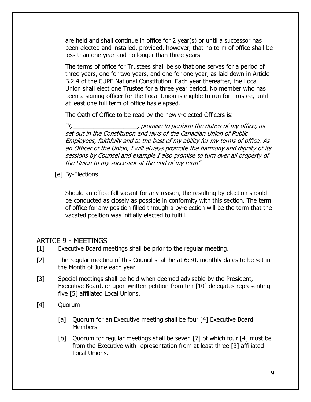are held and shall continue in office for 2 year(s) or until a successor has been elected and installed, provided, however, that no term of office shall be less than one year and no longer than three years.

The terms of office for Trustees shall be so that one serves for a period of three years, one for two years, and one for one year, as laid down in Article B.2.4 of the CUPE National Constitution. Each year thereafter, the Local Union shall elect one Trustee for a three year period. No member who has been a signing officer for the Local Union is eligible to run for Trustee, until at least one full term of office has elapsed.

The Oath of Office to be read by the newly-elected Officers is:

"I, \_\_\_\_\_\_\_\_\_\_\_\_\_\_\_\_\_\_\_, promise to perform the duties of my office, as set out in the Constitution and laws of the Canadian Union of Public Employees, faithfully and to the best of my ability for my terms of office. As an Officer of the Union, I will always promote the harmony and dignity of its sessions by Counsel and example I also promise to turn over all property of the Union to my successor at the end of my term"

[e] By-Elections

Should an office fall vacant for any reason, the resulting by-election should be conducted as closely as possible in conformity with this section. The term of office for any position filled through a by-election will be the term that the vacated position was initially elected to fulfill.

## <span id="page-10-0"></span>ARTICE 9 - MEETINGS

- [1] Executive Board meetings shall be prior to the regular meeting.
- [2] The regular meeting of this Council shall be at 6:30, monthly dates to be set in the Month of June each year.
- [3] Special meetings shall be held when deemed advisable by the President, Executive Board, or upon written petition from ten [10] delegates representing five [5] affiliated Local Unions.
- [4] Quorum
	- [a] Ouorum for an Executive meeting shall be four [4] Executive Board Members.
	- [b] Quorum for regular meetings shall be seven [7] of which four [4] must be from the Executive with representation from at least three [3] affiliated Local Unions.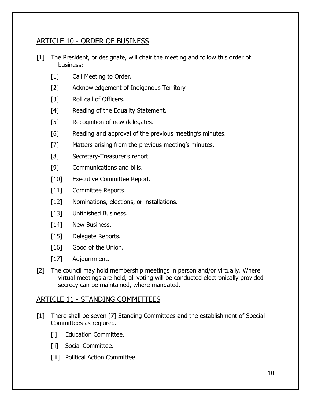## <span id="page-11-0"></span>ARTICLE 10 - ORDER OF BUSINESS

- [1] The President, or designate, will chair the meeting and follow this order of business:
	- [1] Call Meeting to Order.
	- [2] Acknowledgement of Indigenous Territory
	- [3] Roll call of Officers.
	- [4] Reading of the Equality Statement.
	- [5] Recognition of new delegates.
	- [6] Reading and approval of the previous meeting's minutes.
	- [7] Matters arising from the previous meeting's minutes.
	- [8] Secretary-Treasurer's report.
	- [9] Communications and bills.
	- [10] Executive Committee Report.
	- [11] Committee Reports.
	- [12] Nominations, elections, or installations.
	- [13] Unfinished Business.
	- [14] New Business.
	- [15] Delegate Reports.
	- [16] Good of the Union.
	- [17] Adjournment.
- [2] The council may hold membership meetings in person and/or virtually. Where virtual meetings are held, all voting will be conducted electronically provided secrecy can be maintained, where mandated.

## <span id="page-11-1"></span>ARTICLE 11 - STANDING COMMITTEES

- [1] There shall be seven [7] Standing Committees and the establishment of Special Committees as required.
	- [i] Education Committee.
	- [ii] Social Committee.
	- [iii] Political Action Committee.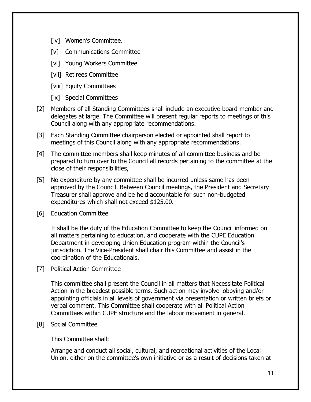- [iv] Women's Committee.
- [v] Communications Committee
- [vi] Young Workers Committee
- [vii] Retirees Committee
- [viii] Equity Committees
- [ix] Special Committees
- [2] Members of all Standing Committees shall include an executive board member and delegates at large. The Committee will present regular reports to meetings of this Council along with any appropriate recommendations.
- [3] Each Standing Committee chairperson elected or appointed shall report to meetings of this Council along with any appropriate recommendations.
- [4] The committee members shall keep minutes of all committee business and be prepared to turn over to the Council all records pertaining to the committee at the close of their responsibilities,
- [5] No expenditure by any committee shall be incurred unless same has been approved by the Council. Between Council meetings, the President and Secretary Treasurer shall approve and be held accountable for such non-budgeted expenditures which shall not exceed \$125.00.
- [6] Education Committee

It shall be the duty of the Education Committee to keep the Council informed on all matters pertaining to education, and cooperate with the CUPE Education Department in developing Union Education program within the Council's jurisdiction. The Vice-President shall chair this Committee and assist in the coordination of the Educationals.

[7] Political Action Committee

This committee shall present the Council in all matters that Necessitate Political Action in the broadest possible terms. Such action may involve lobbying and/or appointing officials in all levels of government via presentation or written briefs or verbal comment. This Committee shall cooperate with all Political Action Committees within CUPE structure and the labour movement in general.

[8] Social Committee

This Committee shall:

Arrange and conduct all social, cultural, and recreational activities of the Local Union, either on the committee's own initiative or as a result of decisions taken at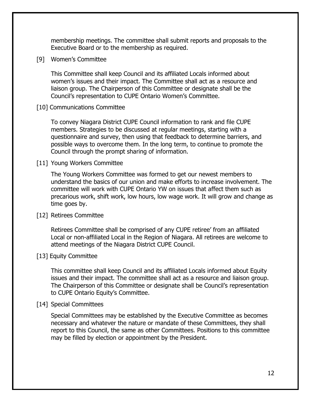membership meetings. The committee shall submit reports and proposals to the Executive Board or to the membership as required.

[9] Women's Committee

This Committee shall keep Council and its affiliated Locals informed about women's issues and their impact. The Committee shall act as a resource and liaison group. The Chairperson of this Committee or designate shall be the Council's representation to CUPE Ontario Women's Committee.

[10] Communications Committee

To convey Niagara District CUPE Council information to rank and file CUPE members. Strategies to be discussed at regular meetings, starting with a questionnaire and survey, then using that feedback to determine barriers, and possible ways to overcome them. In the long term, to continue to promote the Council through the prompt sharing of information.

[11] Young Workers Committee

The Young Workers Committee was formed to get our newest members to understand the basics of our union and make efforts to increase involvement. The committee will work with CUPE Ontario YW on issues that affect them such as precarious work, shift work, low hours, low wage work. It will grow and change as time goes by.

#### [12] Retirees Committee

Retirees Committee shall be comprised of any CUPE retiree' from an affiliated Local or non-affiliated Local in the Region of Niagara. All retirees are welcome to attend meetings of the Niagara District CUPE Council.

#### [13] Equity Committee

This committee shall keep Council and its affiliated Locals informed about Equity issues and their impact. The committee shall act as a resource and liaison group. The Chairperson of this Committee or designate shall be Council's representation to CUPE Ontario Equity's Committee.

#### [14] Special Committees

Special Committees may be established by the Executive Committee as becomes necessary and whatever the nature or mandate of these Committees, they shall report to this Council, the same as other Committees. Positions to this committee may be filled by election or appointment by the President.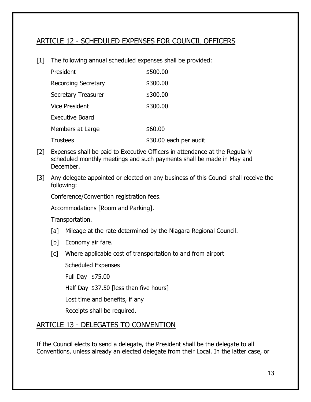## <span id="page-14-0"></span>ARTICLE 12 - SCHEDULED EXPENSES FOR COUNCIL OFFICERS

[1] The following annual scheduled expenses shall be provided:

| President                  | \$500.00               |
|----------------------------|------------------------|
| <b>Recording Secretary</b> | \$300.00               |
| <b>Secretary Treasurer</b> | \$300.00               |
| <b>Vice President</b>      | \$300.00               |
| <b>Executive Board</b>     |                        |
| Members at Large           | \$60.00                |
| <b>Trustees</b>            | \$30.00 each per audit |

- [2] Expenses shall be paid to Executive Officers in attendance at the Regularly scheduled monthly meetings and such payments shall be made in May and December.
- [3] Any delegate appointed or elected on any business of this Council shall receive the following:

Conference/Convention registration fees.

Accommodations [Room and Parking].

Transportation.

- [a] Mileage at the rate determined by the Niagara Regional Council.
- [b] Economy air fare.
- [c] Where applicable cost of transportation to and from airport

Scheduled Expenses

Full Day \$75.00

Half Day \$37.50 [less than five hours]

Lost time and benefits, if any

Receipts shall be required.

## <span id="page-14-1"></span>ARTICLE 13 - DELEGATES TO CONVENTION

If the Council elects to send a delegate, the President shall be the delegate to all Conventions, unless already an elected delegate from their Local. In the latter case, or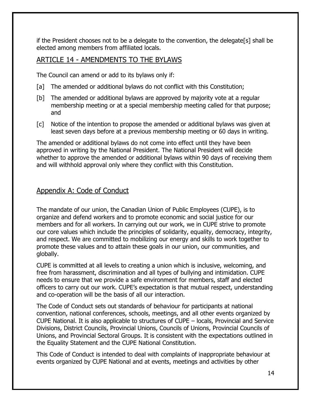if the President chooses not to be a delegate to the convention, the delegate[s] shall be elected among members from affiliated locals.

## <span id="page-15-0"></span>ARTICLE 14 - AMENDMENTS TO THE BYLAWS

The Council can amend or add to its bylaws only if:

- [a] The amended or additional bylaws do not conflict with this Constitution;
- [b] The amended or additional bylaws are approved by majority vote at a regular membership meeting or at a special membership meeting called for that purpose; and
- [c] Notice of the intention to propose the amended or additional bylaws was given at least seven days before at a previous membership meeting or 60 days in writing.

The amended or additional bylaws do not come into effect until they have been approved in writing by the National President. The National President will decide whether to approve the amended or additional bylaws within 90 days of receiving them and will withhold approval only where they conflict with this Constitution.

## <span id="page-15-1"></span>Appendix A: Code of Conduct

The mandate of our union, the Canadian Union of Public Employees (CUPE), is to organize and defend workers and to promote economic and social justice for our members and for all workers. In carrying out our work, we in CUPE strive to promote our core values which include the principles of solidarity, equality, democracy, integrity, and respect. We are committed to mobilizing our energy and skills to work together to promote these values and to attain these goals in our union, our communities, and globally.

CUPE is committed at all levels to creating a union which is inclusive, welcoming, and free from harassment, discrimination and all types of bullying and intimidation. CUPE needs to ensure that we provide a safe environment for members, staff and elected officers to carry out our work. CUPE's expectation is that mutual respect, understanding and co-operation will be the basis of all our interaction.

The Code of Conduct sets out standards of behaviour for participants at national convention, national conferences, schools, meetings, and all other events organized by CUPE National. It is also applicable to structures of CUPE – locals, Provincial and Service Divisions, District Councils, Provincial Unions, Councils of Unions, Provincial Councils of Unions, and Provincial Sectoral Groups. It is consistent with the expectations outlined in the Equality Statement and the CUPE National Constitution.

This Code of Conduct is intended to deal with complaints of inappropriate behaviour at events organized by CUPE National and at events, meetings and activities by other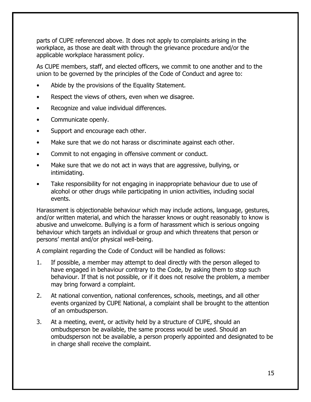parts of CUPE referenced above. It does not apply to complaints arising in the workplace, as those are dealt with through the grievance procedure and/or the applicable workplace harassment policy.

As CUPE members, staff, and elected officers, we commit to one another and to the union to be governed by the principles of the Code of Conduct and agree to:

- Abide by the provisions of the Equality Statement.
- Respect the views of others, even when we disagree.
- Recognize and value individual differences.
- Communicate openly.
- Support and encourage each other.
- Make sure that we do not harass or discriminate against each other.
- Commit to not engaging in offensive comment or conduct.
- Make sure that we do not act in ways that are aggressive, bullying, or intimidating.
- Take responsibility for not engaging in inappropriate behaviour due to use of alcohol or other drugs while participating in union activities, including social events.

Harassment is objectionable behaviour which may include actions, language, gestures, and/or written material, and which the harasser knows or ought reasonably to know is abusive and unwelcome. Bullying is a form of harassment which is serious ongoing behaviour which targets an individual or group and which threatens that person or persons' mental and/or physical well-being.

A complaint regarding the Code of Conduct will be handled as follows:

- 1. If possible, a member may attempt to deal directly with the person alleged to have engaged in behaviour contrary to the Code, by asking them to stop such behaviour. If that is not possible, or if it does not resolve the problem, a member may bring forward a complaint.
- 2. At national convention, national conferences, schools, meetings, and all other events organized by CUPE National, a complaint shall be brought to the attention of an ombudsperson.
- 3. At a meeting, event, or activity held by a structure of CUPE, should an ombudsperson be available, the same process would be used. Should an ombudsperson not be available, a person properly appointed and designated to be in charge shall receive the complaint.